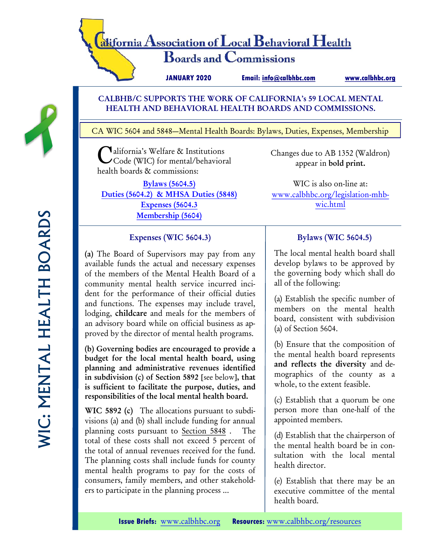# alifornia Association of Local Behavioral Health **Boards and Commissions**

**JANUARY 2020 Email: [info@calbhbc.com](http://www.facebook.com/CALBHBC)** 

**[www.calbhbc.org](http://www.calbhbc.org)**

## CALBHB/C SUPPORTS THE WORK OF CALIFORNIA's 59 LOCAL MENTAL HEALTH AND BEHAVIORAL HEALTH BOARDS AND COMMISSIONS.

CA WIC 5604 and 5848—Mental Health Boards: Bylaws, Duties, Expenses, Membership

California's Welfare & Institutions Code (WIC) for mental/behavioral health boards & commissions:

[Bylaws \(5604.5\)](https://www.calbhbc.org/legislation-mhb-wic.html) [Duties \(5604.2\) & MHSA Duties \(5848\)](https://www.calbhbc.org/legislation-mhb-wic.html) [Expenses \(5604.3](https://www.calbhbc.org/legislation-mhb-wic.html) [Membership \(5604\)](https://www.calbhbc.org/legislation-mhb-wic.html)

Changes due to AB 1352 (Waldron) appear in bold print.

WIC is also on-line at: [www.calbhbc.org/legislation-mhb](https://www.calbhbc.org/legislation-mhb-wic.html)[wic.html](https://www.calbhbc.org/legislation-mhb-wic.html)

## Expenses (WIC 5604.3)

(a) The Board of Supervisors may pay from any available funds the actual and necessary expenses of the members of the Mental Health Board of a community mental health service incurred incident for the performance of their official duties and functions. The expenses may include travel, lodging, childcare and meals for the members of an advisory board while on official business as approved by the director of mental health programs.

(b) Governing bodies are encouraged to provide a budget for the local mental health board, using planning and administrative revenues identified in subdivision (c) of Section 5892 [see below], that is sufficient to facilitate the purpose, duties, and responsibilities of the local mental health board.

WIC 5892 (c) The allocations pursuant to subdivisions (a) and (b) shall include funding for annual planning costs pursuant to [Section 5848](https://1.next.westlaw.com/Link/Document/FullText?findType=L&originatingContext=document&transitionType=DocumentItem&pubNum=1000228&refType=LQ&originatingDoc=Id420d6011a4811e9b5428c649854027b&cite=CAWIS5848) . The total of these costs shall not exceed 5 percent of the total of annual revenues received for the fund. The planning costs shall include funds for county mental health programs to pay for the costs of consumers, family members, and other stakeholders to participate in the planning process ...

## Bylaws (WIC 5604.5)

The local mental health board shall develop bylaws to be approved by the governing body which shall do all of the following:

(a) Establish the specific number of members on the mental health board, consistent with subdivision (a) of Section 5604.

(b) Ensure that the composition of the mental health board represents and reflects the diversity and demographics of the county as a whole, to the extent feasible.

(c) Establish that a quorum be one person more than one-half of the appointed members.

(d) Establish that the chairperson of the mental health board be in consultation with the local mental health director.

(e) Establish that there may be an executive committee of the mental health board.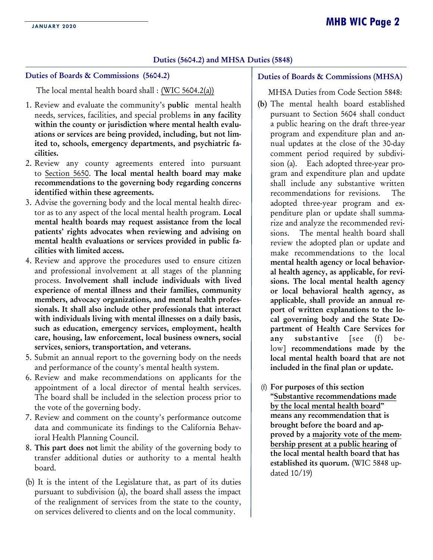#### Duties (5604.2) and MHSA Duties (5848)

#### Duties of Boards & Commissions (5604.2)

The local mental health board shall : [\(WIC 5604.2\(a\)\)](http://leginfo.legislature.ca.gov/faces/codes_displaySection.xhtml?sectionNum=5604.2.&lawCode=WIC)

- 1. Review and evaluate the community's public mental health needs, services, facilities, and special problems in any facility within the county or jurisdiction where mental health evaluations or services are being provided, including, but not limited to, schools, emergency departments, and psychiatric facilities.
- 2. Review any county agreements entered into pursuant to [Section 5650.](http://codes.findlaw.com/ca/welfare-and-institutions-code/wic-sect-5650.html) The local mental health board may make recommendations to the governing body regarding concerns identified within these agreements.
- 3. Advise the governing body and the local mental health director as to any aspect of the local mental health program. Local mental health boards may request assistance from the local patients' rights advocates when reviewing and advising on mental health evaluations or services provided in public facilities with limited access.
- 4. Review and approve the procedures used to ensure citizen and professional involvement at all stages of the planning process. Involvement shall include individuals with lived experience of mental illness and their families, community members, advocacy organizations, and mental health professionals. It shall also include other professionals that interact with individuals living with mental illnesses on a daily basis, such as education, emergency services, employment, health care, housing, law enforcement, local business owners, social services, seniors, transportation, and veterans.
- 5. Submit an annual report to the governing body on the needs and performance of the county's mental health system.
- 6. Review and make recommendations on applicants for the appointment of a local director of mental health services. The board shall be included in the selection process prior to the vote of the governing body.
- 7. Review and comment on the county's performance outcome data and communicate its findings to the California Behavioral Health Planning Council.
- 8. This part does not limit the ability of the governing body to transfer additional duties or authority to a mental health board.
- (b) It is the intent of the Legislature that, as part of its duties pursuant to subdivision (a), the board shall assess the impact of the realignment of services from the state to the county, on services delivered to clients and on the local community.

#### Duties of Boards & Commissions (MHSA)

MHSA Duties from Code Section 5848:

- (b) The mental health board established pursuant to [Section 5604](https://1.next.westlaw.com/Link/Document/FullText?findType=L&originatingContext=document&transitionType=DocumentItem&pubNum=1000228&refType=LQ&originatingDoc=I820c4d20029f11e88670e77d497dbc01&cite=CAWIS5604) shall conduct a public hearing on the draft three-year program and expenditure plan and annual updates at the close of the 30-day comment period required by subdivision (a). Each adopted three-year program and expenditure plan and update shall include any substantive written recommendations for revisions. The adopted three-year program and expenditure plan or update shall summarize and analyze the recommended revisions. The mental health board shall review the adopted plan or update and make recommendations to the local mental health agency or local behavioral health agency, as applicable, for revisions. The local mental health agency or local behavioral health agency, as applicable, shall provide an annual report of written explanations to the local governing body and the State Department of Health Care Services for any substantive [see (f) below] recommendations made by the local mental health board that are not included in the final plan or update.
- (f) For purposes of this section "Substantive recommendations made by the local mental health board" means any recommendation that is brought before the board and approved by a majority vote of the membership present at a public hearing of the local mental health board that has established its quorum. (WIC 5848 updated 10/19)